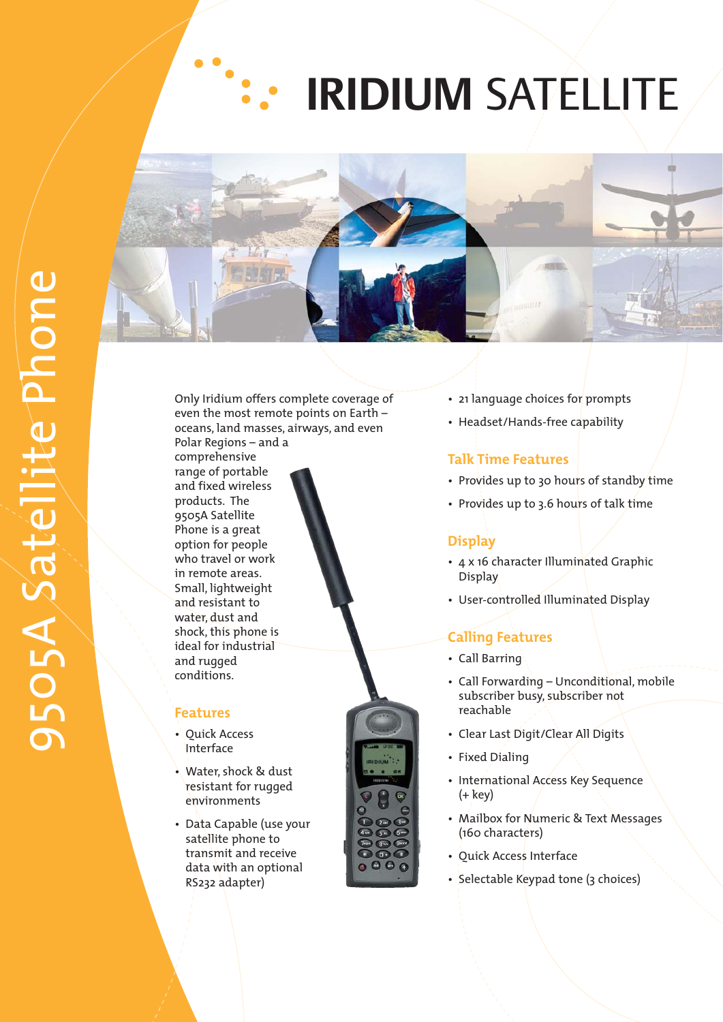# **IRIDIUM**  SATELLITE



oceans, land masses, airways, and even Only Iridium offers complete coverage of even the most remote points on Earth – Polar Regions – and a

Small, lightweight water, dust and comprehensive range of portable and fixed wireless products. The 9505A Satellite Phone is a great option for people who travel or work in remote areas. and resistant to shock, this phone is ideal for industrial and rugged conditions.

## **Features**

- Quick Access Interface
- Water, shock & dust resistant for rugged environments
- Data Capable (use your data with an optional RS232 adapter) satellite phone to transmit and receive
- 21 language choices for prompts
- Headset/Hands-free capability

## **Talk Time Features**

- Provides up to 30 hours of standby time
- Provides up to 3.6 hours of talk time

## **Display**

- 4 x 16 character Illuminated Graphic Display
- User-controlled Illuminated Display

## **Calling Features**

- Call Barring
- Call Forwarding Unconditional, mobile subscriber busy, subscriber not reachable
- Clear Last Digit/Clear All Digits
- Fixed Dialing
- International Access Key Sequence (+ key)
- Mail box for Numeric & Text Messages (160 characters)
- Quick Access Interface
- Selectable Keypad tone (3 choices)